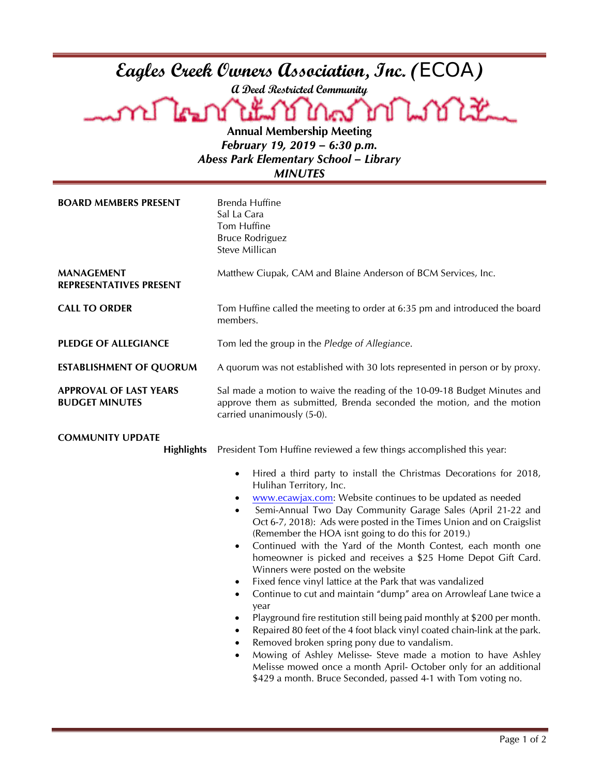| Eagles Creek Owners Association, Inc. (ECOA)<br>a Deed Restricted Community<br>A LE DI LEND LOCATOR LOCALE<br>SMLSOLLE<br><b>Annual Membership Meeting</b><br>February 19, 2019 - 6:30 p.m.<br><b>Abess Park Elementary School - Library</b><br><b>MINUTES</b> |                                                                                                                                                                                                                                                                                                                                                                                                                                                                                                                                                                                                                                                                                                                                                                                                                                                                                                                                                                                                                                                                                                                                                                                                     |  |
|----------------------------------------------------------------------------------------------------------------------------------------------------------------------------------------------------------------------------------------------------------------|-----------------------------------------------------------------------------------------------------------------------------------------------------------------------------------------------------------------------------------------------------------------------------------------------------------------------------------------------------------------------------------------------------------------------------------------------------------------------------------------------------------------------------------------------------------------------------------------------------------------------------------------------------------------------------------------------------------------------------------------------------------------------------------------------------------------------------------------------------------------------------------------------------------------------------------------------------------------------------------------------------------------------------------------------------------------------------------------------------------------------------------------------------------------------------------------------------|--|
| <b>BOARD MEMBERS PRESENT</b>                                                                                                                                                                                                                                   | Brenda Huffine<br>Sal La Cara<br>Tom Huffine<br><b>Bruce Rodriguez</b><br>Steve Millican                                                                                                                                                                                                                                                                                                                                                                                                                                                                                                                                                                                                                                                                                                                                                                                                                                                                                                                                                                                                                                                                                                            |  |
| <b>MANAGEMENT</b><br><b>REPRESENTATIVES PRESENT</b>                                                                                                                                                                                                            | Matthew Ciupak, CAM and Blaine Anderson of BCM Services, Inc.                                                                                                                                                                                                                                                                                                                                                                                                                                                                                                                                                                                                                                                                                                                                                                                                                                                                                                                                                                                                                                                                                                                                       |  |
| <b>CALL TO ORDER</b>                                                                                                                                                                                                                                           | Tom Huffine called the meeting to order at 6:35 pm and introduced the board<br>members.                                                                                                                                                                                                                                                                                                                                                                                                                                                                                                                                                                                                                                                                                                                                                                                                                                                                                                                                                                                                                                                                                                             |  |
| <b>PLEDGE OF ALLEGIANCE</b>                                                                                                                                                                                                                                    | Tom led the group in the Pledge of Allegiance.                                                                                                                                                                                                                                                                                                                                                                                                                                                                                                                                                                                                                                                                                                                                                                                                                                                                                                                                                                                                                                                                                                                                                      |  |
| <b>ESTABLISHMENT OF QUORUM</b>                                                                                                                                                                                                                                 | A quorum was not established with 30 lots represented in person or by proxy.                                                                                                                                                                                                                                                                                                                                                                                                                                                                                                                                                                                                                                                                                                                                                                                                                                                                                                                                                                                                                                                                                                                        |  |
| <b>APPROVAL OF LAST YEARS</b><br><b>BUDGET MINUTES</b>                                                                                                                                                                                                         | Sal made a motion to waive the reading of the 10-09-18 Budget Minutes and<br>approve them as submitted, Brenda seconded the motion, and the motion<br>carried unanimously (5-0).                                                                                                                                                                                                                                                                                                                                                                                                                                                                                                                                                                                                                                                                                                                                                                                                                                                                                                                                                                                                                    |  |
| <b>COMMUNITY UPDATE</b><br><b>Highlights</b>                                                                                                                                                                                                                   | President Tom Huffine reviewed a few things accomplished this year:<br>Hired a third party to install the Christmas Decorations for 2018,<br>Hulihan Territory, Inc.<br>www.ecawjax.com: Website continues to be updated as needed<br>Semi-Annual Two Day Community Garage Sales (April 21-22 and<br>Oct 6-7, 2018): Ads were posted in the Times Union and on Craigslist<br>(Remember the HOA isnt going to do this for 2019.)<br>Continued with the Yard of the Month Contest, each month one<br>$\bullet$<br>homeowner is picked and receives a \$25 Home Depot Gift Card.<br>Winners were posted on the website<br>Fixed fence vinyl lattice at the Park that was vandalized<br>٠<br>Continue to cut and maintain "dump" area on Arrowleaf Lane twice a<br>$\bullet$<br>year<br>Playground fire restitution still being paid monthly at \$200 per month.<br>Repaired 80 feet of the 4 foot black vinyl coated chain-link at the park.<br>Removed broken spring pony due to vandalism.<br>Mowing of Ashley Melisse- Steve made a motion to have Ashley<br>٠<br>Melisse mowed once a month April- October only for an additional<br>\$429 a month. Bruce Seconded, passed 4-1 with Tom voting no. |  |